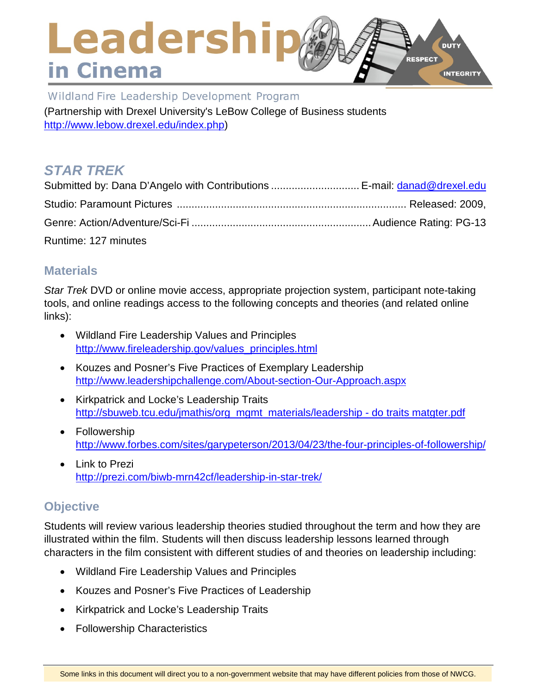### Leadership **DUTY RESPECT** in Cinema INTEGRITY

Wildland Fire Leadership Development Program (Partnership with Drexel University's LeBow College of Business students [http://www.lebow.drexel.edu/index.php\)](http://www.lebow.drexel.edu/index.php)

# *STAR TREK*

| Submitted by: Dana D'Angelo with Contributions  E-mail: danad@drexel.edu |  |
|--------------------------------------------------------------------------|--|
|                                                                          |  |
|                                                                          |  |
| Runtime: 127 minutes                                                     |  |

### **Materials**

*Star Trek* DVD or online movie access, appropriate projection system, participant note-taking tools, and online readings access to the following concepts and theories (and related online links):

- Wildland Fire Leadership Values and Principles [http://www.fireleadership.gov/values\\_principles.html](http://www.fireleadership.gov/values_principles.html)
- Kouzes and Posner's Five Practices of Exemplary Leadership <http://www.leadershipchallenge.com/About-section-Our-Approach.aspx>
- Kirkpatrick and Locke's Leadership Traits [http://sbuweb.tcu.edu/jmathis/org\\_mgmt\\_materials/leadership -](http://sbuweb.tcu.edu/jmathis/org_mgmt_materials/leadership%20-%20do%20traits%20matgter.pdf) do traits matgter.pdf
- Followership <http://www.forbes.com/sites/garypeterson/2013/04/23/the-four-principles-of-followership/>
- Link to Prezi <http://prezi.com/biwb-mrn42cf/leadership-in-star-trek/>

## **Objective**

Students will review various leadership theories studied throughout the term and how they are illustrated within the film. Students will then discuss leadership lessons learned through characters in the film consistent with different studies of and theories on leadership including:

- Wildland Fire Leadership Values and Principles
- Kouzes and Posner's Five Practices of Leadership
- Kirkpatrick and Locke's Leadership Traits
- Followership Characteristics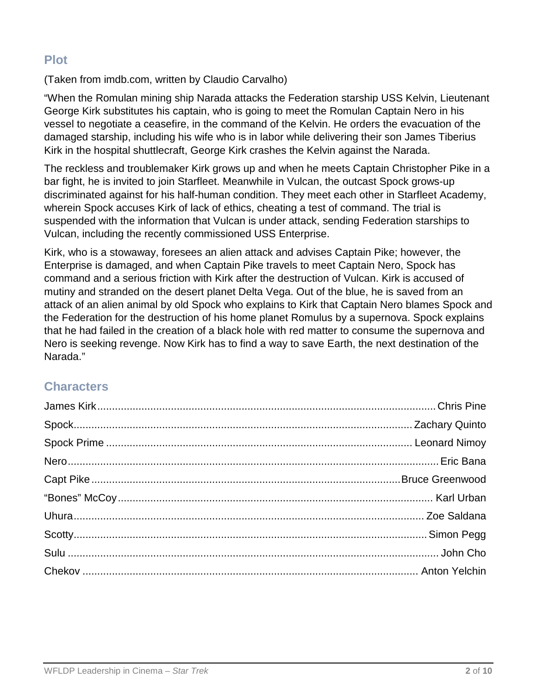### **Plot**

(Taken from imdb.com, written by Claudio Carvalho)

"When the Romulan mining ship Narada attacks the Federation starship USS Kelvin, Lieutenant George Kirk substitutes his captain, who is going to meet the Romulan Captain Nero in his vessel to negotiate a ceasefire, in the command of the Kelvin. He orders the evacuation of the damaged starship, including his wife who is in labor while delivering their son James Tiberius Kirk in the hospital shuttlecraft, George Kirk crashes the Kelvin against the Narada.

The reckless and troublemaker Kirk grows up and when he meets Captain Christopher Pike in a bar fight, he is invited to join Starfleet. Meanwhile in Vulcan, the outcast Spock grows-up discriminated against for his half-human condition. They meet each other in Starfleet Academy, wherein Spock accuses Kirk of lack of ethics, cheating a test of command. The trial is suspended with the information that Vulcan is under attack, sending Federation starships to Vulcan, including the recently commissioned USS Enterprise.

Kirk, who is a stowaway, foresees an alien attack and advises Captain Pike; however, the Enterprise is damaged, and when Captain Pike travels to meet Captain Nero, Spock has command and a serious friction with Kirk after the destruction of Vulcan. Kirk is accused of mutiny and stranded on the desert planet Delta Vega. Out of the blue, he is saved from an attack of an alien animal by old Spock who explains to Kirk that Captain Nero blames Spock and the Federation for the destruction of his home planet Romulus by a supernova. Spock explains that he had failed in the creation of a black hole with red matter to consume the supernova and Nero is seeking revenge. Now Kirk has to find a way to save Earth, the next destination of the Narada."

## **Characters**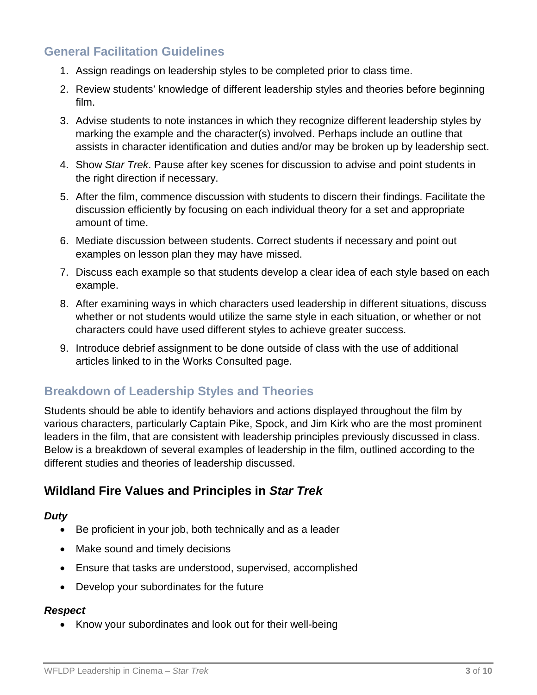### **General Facilitation Guidelines**

- 1. Assign readings on leadership styles to be completed prior to class time.
- 2. Review students' knowledge of different leadership styles and theories before beginning film.
- 3. Advise students to note instances in which they recognize different leadership styles by marking the example and the character(s) involved. Perhaps include an outline that assists in character identification and duties and/or may be broken up by leadership sect.
- 4. Show *Star Trek*. Pause after key scenes for discussion to advise and point students in the right direction if necessary.
- 5. After the film, commence discussion with students to discern their findings. Facilitate the discussion efficiently by focusing on each individual theory for a set and appropriate amount of time.
- 6. Mediate discussion between students. Correct students if necessary and point out examples on lesson plan they may have missed.
- 7. Discuss each example so that students develop a clear idea of each style based on each example.
- 8. After examining ways in which characters used leadership in different situations, discuss whether or not students would utilize the same style in each situation, or whether or not characters could have used different styles to achieve greater success.
- 9. Introduce debrief assignment to be done outside of class with the use of additional articles linked to in the Works Consulted page.

### **Breakdown of Leadership Styles and Theories**

Students should be able to identify behaviors and actions displayed throughout the film by various characters, particularly Captain Pike, Spock, and Jim Kirk who are the most prominent leaders in the film, that are consistent with leadership principles previously discussed in class. Below is a breakdown of several examples of leadership in the film, outlined according to the different studies and theories of leadership discussed.

### **Wildland Fire Values and Principles in** *Star Trek*

#### *Duty*

- Be proficient in your job, both technically and as a leader
- Make sound and timely decisions
- Ensure that tasks are understood, supervised, accomplished
- Develop your subordinates for the future

#### *Respect*

• Know your subordinates and look out for their well-being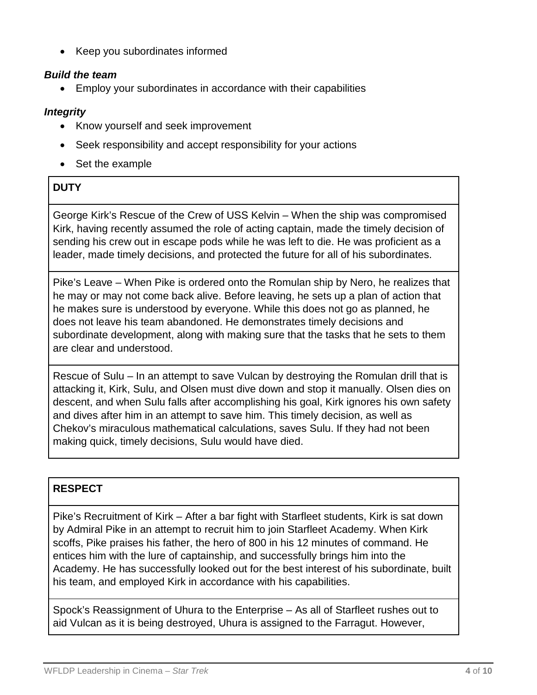• Keep you subordinates informed

#### *Build the team*

• Employ your subordinates in accordance with their capabilities

#### *Integrity*

- Know yourself and seek improvement
- Seek responsibility and accept responsibility for your actions
- Set the example

### **DUTY**

George Kirk's Rescue of the Crew of USS Kelvin – When the ship was compromised Kirk, having recently assumed the role of acting captain, made the timely decision of sending his crew out in escape pods while he was left to die. He was proficient as a leader, made timely decisions, and protected the future for all of his subordinates.

Pike's Leave – When Pike is ordered onto the Romulan ship by Nero, he realizes that he may or may not come back alive. Before leaving, he sets up a plan of action that he makes sure is understood by everyone. While this does not go as planned, he does not leave his team abandoned. He demonstrates timely decisions and subordinate development, along with making sure that the tasks that he sets to them are clear and understood.

Rescue of Sulu – In an attempt to save Vulcan by destroying the Romulan drill that is attacking it, Kirk, Sulu, and Olsen must dive down and stop it manually. Olsen dies on descent, and when Sulu falls after accomplishing his goal, Kirk ignores his own safety and dives after him in an attempt to save him. This timely decision, as well as Chekov's miraculous mathematical calculations, saves Sulu. If they had not been making quick, timely decisions, Sulu would have died.

### **RESPECT**

Pike's Recruitment of Kirk – After a bar fight with Starfleet students, Kirk is sat down by Admiral Pike in an attempt to recruit him to join Starfleet Academy. When Kirk scoffs, Pike praises his father, the hero of 800 in his 12 minutes of command. He entices him with the lure of captainship, and successfully brings him into the Academy. He has successfully looked out for the best interest of his subordinate, built his team, and employed Kirk in accordance with his capabilities.

Spock's Reassignment of Uhura to the Enterprise – As all of Starfleet rushes out to aid Vulcan as it is being destroyed, Uhura is assigned to the Farragut. However,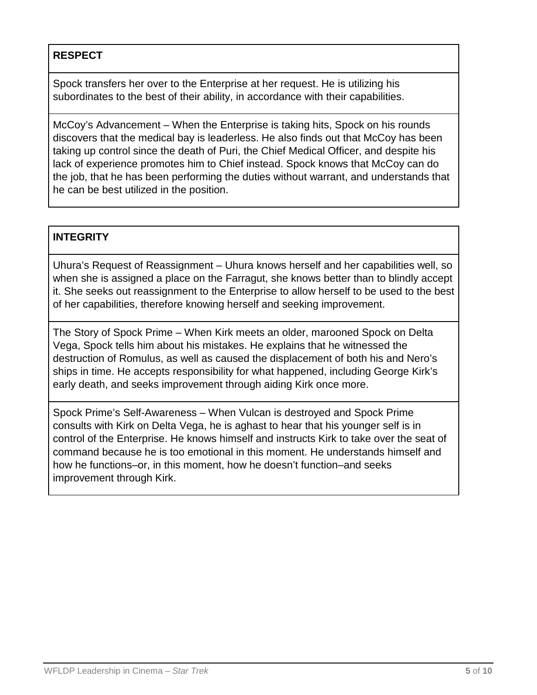#### **RESPECT**

Spock transfers her over to the Enterprise at her request. He is utilizing his subordinates to the best of their ability, in accordance with their capabilities.

McCoy's Advancement – When the Enterprise is taking hits, Spock on his rounds discovers that the medical bay is leaderless. He also finds out that McCoy has been taking up control since the death of Puri, the Chief Medical Officer, and despite his lack of experience promotes him to Chief instead. Spock knows that McCoy can do the job, that he has been performing the duties without warrant, and understands that he can be best utilized in the position.

#### **INTEGRITY**

Uhura's Request of Reassignment – Uhura knows herself and her capabilities well, so when she is assigned a place on the Farragut, she knows better than to blindly accept it. She seeks out reassignment to the Enterprise to allow herself to be used to the best of her capabilities, therefore knowing herself and seeking improvement.

The Story of Spock Prime – When Kirk meets an older, marooned Spock on Delta Vega, Spock tells him about his mistakes. He explains that he witnessed the destruction of Romulus, as well as caused the displacement of both his and Nero's ships in time. He accepts responsibility for what happened, including George Kirk's early death, and seeks improvement through aiding Kirk once more.

Spock Prime's Self-Awareness – When Vulcan is destroyed and Spock Prime consults with Kirk on Delta Vega, he is aghast to hear that his younger self is in control of the Enterprise. He knows himself and instructs Kirk to take over the seat of command because he is too emotional in this moment. He understands himself and how he functions–or, in this moment, how he doesn't function–and seeks improvement through Kirk.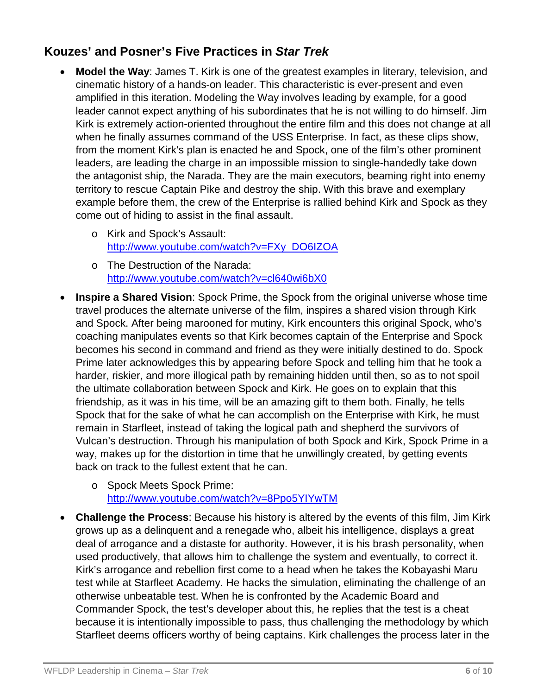### **Kouzes' and Posner's Five Practices in** *Star Trek*

- **Model the Way**: James T. Kirk is one of the greatest examples in literary, television, and cinematic history of a hands-on leader. This characteristic is ever-present and even amplified in this iteration. Modeling the Way involves leading by example, for a good leader cannot expect anything of his subordinates that he is not willing to do himself. Jim Kirk is extremely action-oriented throughout the entire film and this does not change at all when he finally assumes command of the USS Enterprise. In fact, as these clips show, from the moment Kirk's plan is enacted he and Spock, one of the film's other prominent leaders, are leading the charge in an impossible mission to single-handedly take down the antagonist ship, the Narada. They are the main executors, beaming right into enemy territory to rescue Captain Pike and destroy the ship. With this brave and exemplary example before them, the crew of the Enterprise is rallied behind Kirk and Spock as they come out of hiding to assist in the final assault.
	- o Kirk and Spock's Assault: [http://www.youtube.com/watch?v=FXy\\_DO6IZOA](http://www.youtube.com/watch?v=FXy_DO6IZOA)
	- o The Destruction of the Narada: <http://www.youtube.com/watch?v=cl640wi6bX0>
- **Inspire a Shared Vision**: Spock Prime, the Spock from the original universe whose time travel produces the alternate universe of the film, inspires a shared vision through Kirk and Spock. After being marooned for mutiny, Kirk encounters this original Spock, who's coaching manipulates events so that Kirk becomes captain of the Enterprise and Spock becomes his second in command and friend as they were initially destined to do. Spock Prime later acknowledges this by appearing before Spock and telling him that he took a harder, riskier, and more illogical path by remaining hidden until then, so as to not spoil the ultimate collaboration between Spock and Kirk. He goes on to explain that this friendship, as it was in his time, will be an amazing gift to them both. Finally, he tells Spock that for the sake of what he can accomplish on the Enterprise with Kirk, he must remain in Starfleet, instead of taking the logical path and shepherd the survivors of Vulcan's destruction. Through his manipulation of both Spock and Kirk, Spock Prime in a way, makes up for the distortion in time that he unwillingly created, by getting events back on track to the fullest extent that he can.
	- o Spock Meets Spock Prime: <http://www.youtube.com/watch?v=8Ppo5YIYwTM>
- **Challenge the Process**: Because his history is altered by the events of this film, Jim Kirk grows up as a delinquent and a renegade who, albeit his intelligence, displays a great deal of arrogance and a distaste for authority. However, it is his brash personality, when used productively, that allows him to challenge the system and eventually, to correct it. Kirk's arrogance and rebellion first come to a head when he takes the Kobayashi Maru test while at Starfleet Academy. He hacks the simulation, eliminating the challenge of an otherwise unbeatable test. When he is confronted by the Academic Board and Commander Spock, the test's developer about this, he replies that the test is a cheat because it is intentionally impossible to pass, thus challenging the methodology by which Starfleet deems officers worthy of being captains. Kirk challenges the process later in the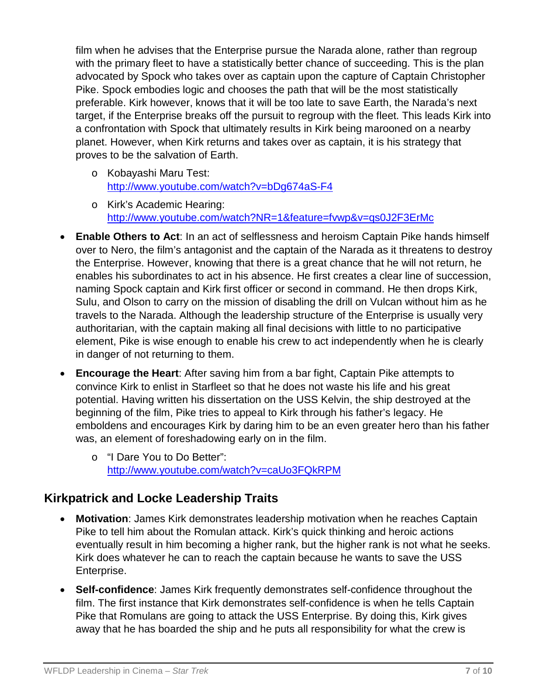film when he advises that the Enterprise pursue the Narada alone, rather than regroup with the primary fleet to have a statistically better chance of succeeding. This is the plan advocated by Spock who takes over as captain upon the capture of Captain Christopher Pike. Spock embodies logic and chooses the path that will be the most statistically preferable. Kirk however, knows that it will be too late to save Earth, the Narada's next target, if the Enterprise breaks off the pursuit to regroup with the fleet. This leads Kirk into a confrontation with Spock that ultimately results in Kirk being marooned on a nearby planet. However, when Kirk returns and takes over as captain, it is his strategy that proves to be the salvation of Earth.

- o Kobayashi Maru Test: <http://www.youtube.com/watch?v=bDg674aS-F4>
- o Kirk's Academic Hearing: <http://www.youtube.com/watch?NR=1&feature=fvwp&v=qs0J2F3ErMc>
- **Enable Others to Act**: In an act of selflessness and heroism Captain Pike hands himself over to Nero, the film's antagonist and the captain of the Narada as it threatens to destroy the Enterprise. However, knowing that there is a great chance that he will not return, he enables his subordinates to act in his absence. He first creates a clear line of succession, naming Spock captain and Kirk first officer or second in command. He then drops Kirk, Sulu, and Olson to carry on the mission of disabling the drill on Vulcan without him as he travels to the Narada. Although the leadership structure of the Enterprise is usually very authoritarian, with the captain making all final decisions with little to no participative element, Pike is wise enough to enable his crew to act independently when he is clearly in danger of not returning to them.
- **Encourage the Heart**: After saving him from a bar fight, Captain Pike attempts to convince Kirk to enlist in Starfleet so that he does not waste his life and his great potential. Having written his dissertation on the USS Kelvin, the ship destroyed at the beginning of the film, Pike tries to appeal to Kirk through his father's legacy. He emboldens and encourages Kirk by daring him to be an even greater hero than his father was, an element of foreshadowing early on in the film.
	- o "I Dare You to Do Better": <http://www.youtube.com/watch?v=caUo3FQkRPM>

### **Kirkpatrick and Locke Leadership Traits**

- **Motivation**: James Kirk demonstrates leadership motivation when he reaches Captain Pike to tell him about the Romulan attack. Kirk's quick thinking and heroic actions eventually result in him becoming a higher rank, but the higher rank is not what he seeks. Kirk does whatever he can to reach the captain because he wants to save the USS Enterprise.
- **Self-confidence**: James Kirk frequently demonstrates self-confidence throughout the film. The first instance that Kirk demonstrates self-confidence is when he tells Captain Pike that Romulans are going to attack the USS Enterprise. By doing this, Kirk gives away that he has boarded the ship and he puts all responsibility for what the crew is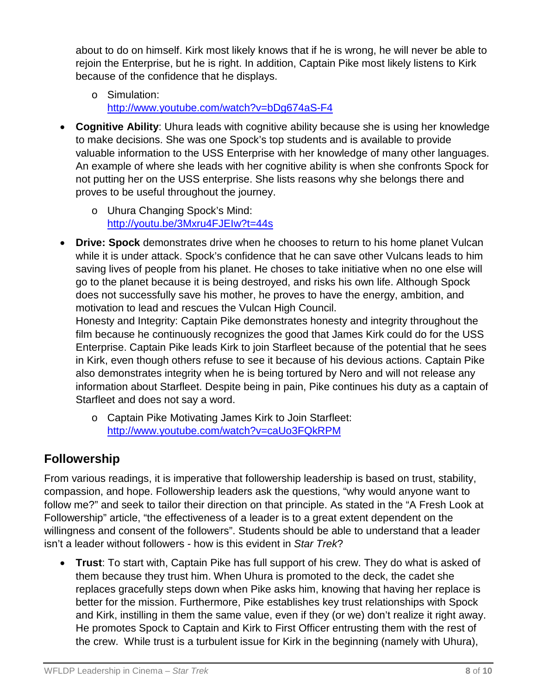about to do on himself. Kirk most likely knows that if he is wrong, he will never be able to rejoin the Enterprise, but he is right. In addition, Captain Pike most likely listens to Kirk because of the confidence that he displays.

- o Simulation: <http://www.youtube.com/watch?v=bDg674aS-F4>
- **Cognitive Ability**: Uhura leads with cognitive ability because she is using her knowledge to make decisions. She was one Spock's top students and is available to provide valuable information to the USS Enterprise with her knowledge of many other languages. An example of where she leads with her cognitive ability is when she confronts Spock for not putting her on the USS enterprise. She lists reasons why she belongs there and proves to be useful throughout the journey.
	- o Uhura Changing Spock's Mind: <http://youtu.be/3Mxru4FJEIw?t=44s>
- **Drive: Spock** demonstrates drive when he chooses to return to his home planet Vulcan while it is under attack. Spock's confidence that he can save other Vulcans leads to him saving lives of people from his planet. He choses to take initiative when no one else will go to the planet because it is being destroyed, and risks his own life. Although Spock does not successfully save his mother, he proves to have the energy, ambition, and motivation to lead and rescues the Vulcan High Council.

Honesty and Integrity: Captain Pike demonstrates honesty and integrity throughout the film because he continuously recognizes the good that James Kirk could do for the USS Enterprise. Captain Pike leads Kirk to join Starfleet because of the potential that he sees in Kirk, even though others refuse to see it because of his devious actions. Captain Pike also demonstrates integrity when he is being tortured by Nero and will not release any information about Starfleet. Despite being in pain, Pike continues his duty as a captain of Starfleet and does not say a word.

o Captain Pike Motivating James Kirk to Join Starfleet: <http://www.youtube.com/watch?v=caUo3FQkRPM>

# **Followership**

From various readings, it is imperative that followership leadership is based on trust, stability, compassion, and hope. Followership leaders ask the questions, "why would anyone want to follow me?" and seek to tailor their direction on that principle. As stated in the "A Fresh Look at Followership" article, "the effectiveness of a leader is to a great extent dependent on the willingness and consent of the followers". Students should be able to understand that a leader isn't a leader without followers - how is this evident in *Star Trek*?

• **Trust**: To start with, Captain Pike has full support of his crew. They do what is asked of them because they trust him. When Uhura is promoted to the deck, the cadet she replaces gracefully steps down when Pike asks him, knowing that having her replace is better for the mission. Furthermore, Pike establishes key trust relationships with Spock and Kirk, instilling in them the same value, even if they (or we) don't realize it right away. He promotes Spock to Captain and Kirk to First Officer entrusting them with the rest of the crew. While trust is a turbulent issue for Kirk in the beginning (namely with Uhura),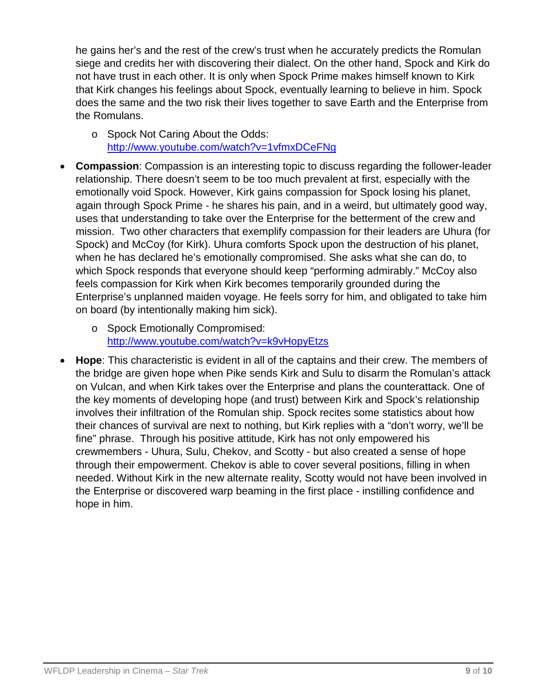he gains her's and the rest of the crew's trust when he accurately predicts the Romulan siege and credits her with discovering their dialect. On the other hand, Spock and Kirk do not have trust in each other. It is only when Spock Prime makes himself known to Kirk that Kirk changes his feelings about Spock, eventually learning to believe in him. Spock does the same and the two risk their lives together to save Earth and the Enterprise from the Romulans.

- o Spock Not Caring About the Odds: <http://www.youtube.com/watch?v=1vfmxDCeFNg>
- **Compassion**: Compassion is an interesting topic to discuss regarding the follower-leader relationship. There doesn't seem to be too much prevalent at first, especially with the emotionally void Spock. However, Kirk gains compassion for Spock losing his planet, again through Spock Prime - he shares his pain, and in a weird, but ultimately good way, uses that understanding to take over the Enterprise for the betterment of the crew and mission. Two other characters that exemplify compassion for their leaders are Uhura (for Spock) and McCoy (for Kirk). Uhura comforts Spock upon the destruction of his planet, when he has declared he's emotionally compromised. She asks what she can do, to which Spock responds that everyone should keep "performing admirably." McCoy also feels compassion for Kirk when Kirk becomes temporarily grounded during the Enterprise's unplanned maiden voyage. He feels sorry for him, and obligated to take him on board (by intentionally making him sick).
	- o Spock Emotionally Compromised: <http://www.youtube.com/watch?v=k9vHopyEtzs>
- **Hope**: This characteristic is evident in all of the captains and their crew. The members of the bridge are given hope when Pike sends Kirk and Sulu to disarm the Romulan's attack on Vulcan, and when Kirk takes over the Enterprise and plans the counterattack. One of the key moments of developing hope (and trust) between Kirk and Spock's relationship involves their infiltration of the Romulan ship. Spock recites some statistics about how their chances of survival are next to nothing, but Kirk replies with a "don't worry, we'll be fine" phrase. Through his positive attitude, Kirk has not only empowered his crewmembers - Uhura, Sulu, Chekov, and Scotty - but also created a sense of hope through their empowerment. Chekov is able to cover several positions, filling in when needed. Without Kirk in the new alternate reality, Scotty would not have been involved in the Enterprise or discovered warp beaming in the first place - instilling confidence and hope in him.